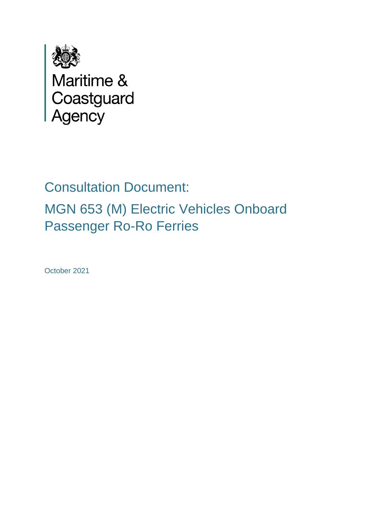

Maritime &<br>Coastguard<br>Agency

# Consultation Document: MGN 653 (M) Electric Vehicles Onboard Passenger Ro-Ro Ferries

October 2021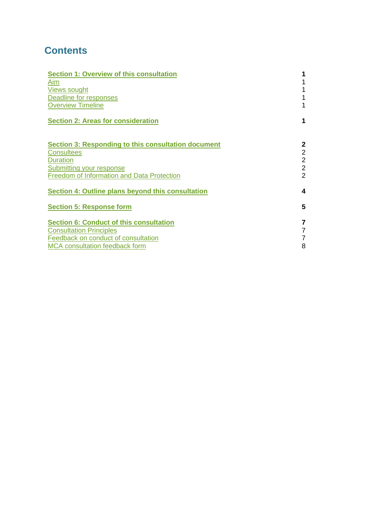# **Contents**

| <b>Section 1: Overview of this consultation</b>     |                  |  |  |
|-----------------------------------------------------|------------------|--|--|
| Aim                                                 |                  |  |  |
| <b>Views sought</b>                                 | 1                |  |  |
| Deadline for responses                              | 1                |  |  |
| <b>Overview Timeline</b>                            | 1                |  |  |
| <b>Section 2: Areas for consideration</b>           | 1                |  |  |
| Section 3: Responding to this consultation document | $\mathbf{2}$     |  |  |
| <b>Consultees</b>                                   | $\overline{2}$   |  |  |
| <b>Duration</b>                                     | $\overline{2}$   |  |  |
| Submitting your response                            | $\overline{2}$   |  |  |
| <b>Freedom of Information and Data Protection</b>   | $\overline{2}$   |  |  |
| Section 4: Outline plans beyond this consultation   | $\boldsymbol{4}$ |  |  |
| <b>Section 5: Response form</b>                     | 5                |  |  |
| <b>Section 6: Conduct of this consultation</b>      | $\overline{7}$   |  |  |
| <b>Consultation Principles</b>                      | 7                |  |  |
| Feedback on conduct of consultation                 | $\overline{7}$   |  |  |
| <b>MCA</b> consultation feedback form               | 8                |  |  |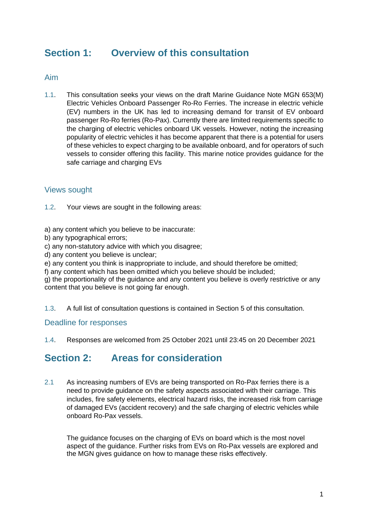# <span id="page-2-0"></span>**Section 1: Overview of this consultation**

#### <span id="page-2-1"></span>Aim

1.1. This consultation seeks your views on the draft Marine Guidance Note MGN 653(M) Electric Vehicles Onboard Passenger Ro-Ro Ferries. The increase in electric vehicle (EV) numbers in the UK has led to increasing demand for transit of EV onboard passenger Ro-Ro ferries (Ro-Pax). Currently there are limited requirements specific to the charging of electric vehicles onboard UK vessels. However, noting the increasing popularity of electric vehicles it has become apparent that there is a potential for users of these vehicles to expect charging to be available onboard, and for operators of such vessels to consider offering this facility. This marine notice provides guidance for the safe carriage and charging EVs

## <span id="page-2-2"></span>Views sought

- 1.2. Your views are sought in the following areas:
- a) any content which you believe to be inaccurate:
- b) any typographical errors;
- c) any non-statutory advice with which you disagree;
- d) any content you believe is unclear;
- e) any content you think is inappropriate to include, and should therefore be omitted;
- f) any content which has been omitted which you believe should be included;
- g) the proportionality of the guidance and any content you believe is overly restrictive or any content that you believe is not going far enough.
- 1.3. A full list of consultation questions is contained in Section 5 of this consultation.

## <span id="page-2-3"></span>Deadline for responses

1.4. Responses are welcomed from 25 October 2021 until 23:45 on 20 December 2021

## <span id="page-2-5"></span>**Section 2: Areas for consideration**

2.1 As increasing numbers of EVs are being transported on Ro-Pax ferries there is a need to provide guidance on the safety aspects associated with their carriage. This includes, fire safety elements, electrical hazard risks, the increased risk from carriage of damaged EVs (accident recovery) and the safe charging of electric vehicles while onboard Ro-Pax vessels.

<span id="page-2-4"></span>The guidance focuses on the charging of EVs on board which is the most novel aspect of the guidance. Further risks from EVs on Ro-Pax vessels are explored and the MGN gives guidance on how to manage these risks effectively.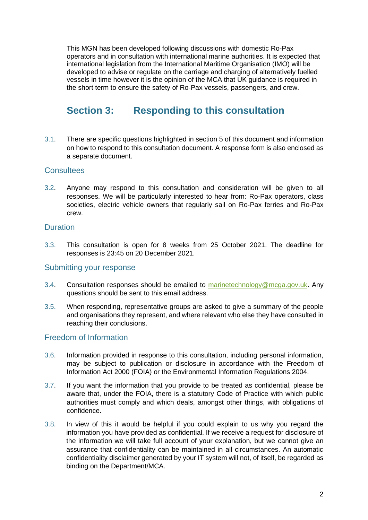This MGN has been developed following discussions with domestic Ro-Pax operators and in consultation with international marine authorities. It is expected that international legislation from the International Maritime Organisation (IMO) will be developed to advise or regulate on the carriage and charging of alternatively fuelled vessels in time however it is the opinion of the MCA that UK guidance is required in the short term to ensure the safety of Ro-Pax vessels, passengers, and crew.

# <span id="page-3-0"></span>**Section 3: Responding to this consultation**

3.1. There are specific questions highlighted in section 5 of this document and information on how to respond to this consultation document. A response form is also enclosed as a separate document.

## <span id="page-3-1"></span>**Consultees**

3.2. Anyone may respond to this consultation and consideration will be given to all responses. We will be particularly interested to hear from: Ro-Pax operators, class societies, electric vehicle owners that regularly sail on Ro-Pax ferries and Ro-Pax crew.

#### <span id="page-3-2"></span>**Duration**

3.3. This consultation is open for 8 weeks from 25 October 2021. The deadline for responses is 23:45 on 20 December 2021.

## <span id="page-3-3"></span>Submitting your response

- 3.4. Consultation responses should be emailed to [marinetechnology@mcga.gov.uk.](mailto:marinetechnology%20@mcga.gov.uk) Any questions should be sent to this email address.
- 3.5. When responding, representative groups are asked to give a summary of the people and organisations they represent, and where relevant who else they have consulted in reaching their conclusions.

#### <span id="page-3-4"></span>Freedom of Information

- 3.6. Information provided in response to this consultation, including personal information, may be subject to publication or disclosure in accordance with the Freedom of Information Act 2000 (FOIA) or the Environmental Information Regulations 2004.
- 3.7. If you want the information that you provide to be treated as confidential, please be aware that, under the FOIA, there is a statutory Code of Practice with which public authorities must comply and which deals, amongst other things, with obligations of confidence.
- 3.8. In view of this it would be helpful if you could explain to us why you regard the information you have provided as confidential. If we receive a request for disclosure of the information we will take full account of your explanation, but we cannot give an assurance that confidentiality can be maintained in all circumstances. An automatic confidentiality disclaimer generated by your IT system will not, of itself, be regarded as binding on the Department/MCA.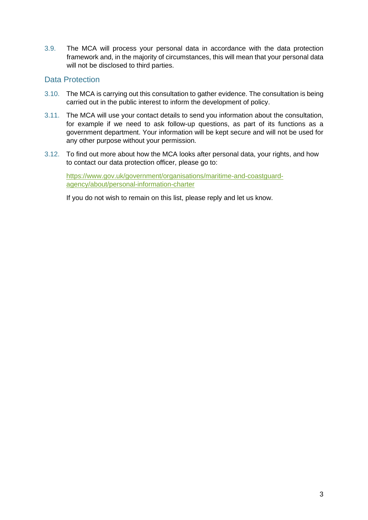3.9. The MCA will process your personal data in accordance with the data protection framework and, in the majority of circumstances, this will mean that your personal data will not be disclosed to third parties.

## Data Protection

- 3.10. The MCA is carrying out this consultation to gather evidence. The consultation is being carried out in the public interest to inform the development of policy.
- 3.11. The MCA will use your contact details to send you information about the consultation, for example if we need to ask follow-up questions, as part of its functions as a government department. Your information will be kept secure and will not be used for any other purpose without your permission.
- 3.12. To find out more about how the MCA looks after personal data, your rights, and how to contact our data protection officer, please go to:

[https://www.gov.uk/government/organisations/maritime-and-coastguard](https://www.gov.uk/government/organisations/maritime-and-coastguard-agency/about/personal-information-charter)[agency/about/personal-information-charter](https://www.gov.uk/government/organisations/maritime-and-coastguard-agency/about/personal-information-charter)

If you do not wish to remain on this list, please reply and let us know.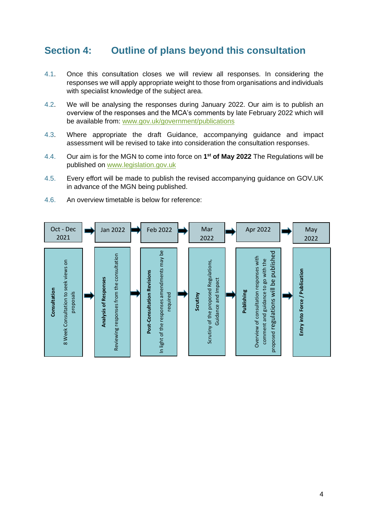# <span id="page-5-0"></span>**Section 4: Outline of plans beyond this consultation**

- 4.1. Once this consultation closes we will review all responses. In considering the responses we will apply appropriate weight to those from organisations and individuals with specialist knowledge of the subject area.
- 4.2. We will be analysing the responses during January 2022. Our aim is to publish an overview of the responses and the MCA's comments by late February 2022 which will be available from: [www.gov.uk/government/publications](http://www.gov.uk/government/publications)
- 4.3. Where appropriate the draft Guidance, accompanying guidance and impact assessment will be revised to take into consideration the consultation responses.
- 4.4. Our aim is for the MGN to come into force on **1 st of May 2022** The Regulations will be published on [www.legislation.gov.uk](http://www.legislation.gov.uk/)
- 4.5. Every effort will be made to publish the revised accompanying guidance on GOV.UK in advance of the MGN being published.
- 4.6. An overview timetable is below for reference:

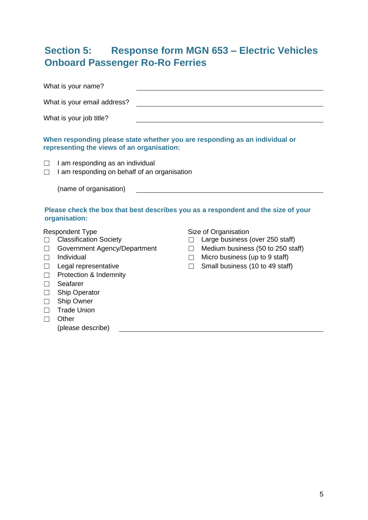# <span id="page-6-0"></span>**Section 5: Response form MGN 653 – Electric Vehicles Onboard Passenger Ro-Ro Ferries**

|                                                                              | What is your name?                                                                                                                                                                                                                                            |             |                                                                                                                                                                   |
|------------------------------------------------------------------------------|---------------------------------------------------------------------------------------------------------------------------------------------------------------------------------------------------------------------------------------------------------------|-------------|-------------------------------------------------------------------------------------------------------------------------------------------------------------------|
|                                                                              | What is your email address?                                                                                                                                                                                                                                   |             |                                                                                                                                                                   |
|                                                                              | What is your job title?                                                                                                                                                                                                                                       |             |                                                                                                                                                                   |
|                                                                              | representing the views of an organisation:                                                                                                                                                                                                                    |             | When responding please state whether you are responding as an individual or                                                                                       |
| П                                                                            | I am responding as an individual<br>I am responding on behalf of an organisation<br>(name of organisation)                                                                                                                                                    |             |                                                                                                                                                                   |
|                                                                              | organisation:                                                                                                                                                                                                                                                 |             | Please check the box that best describes you as a respondent and the size of your                                                                                 |
| $\Box$<br>П<br>$\Box$<br>$\Box$<br>$\Box$<br>$\Box$<br>$\Box$<br>$\Box$<br>П | <b>Respondent Type</b><br><b>Classification Society</b><br>Government Agency/Department<br>Individual<br>Legal representative<br>Protection & Indemnity<br>Seafarer<br><b>Ship Operator</b><br>Ship Owner<br><b>Trade Union</b><br>Other<br>(please describe) | П<br>$\Box$ | Size of Organisation<br>Large business (over 250 staff)<br>Medium business (50 to 250 staff)<br>Micro business (up to 9 staff)<br>Small business (10 to 49 staff) |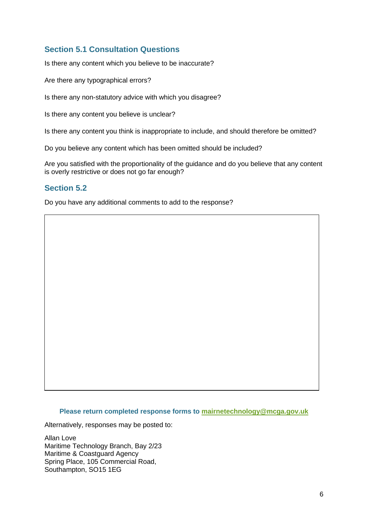## **Section 5.1 Consultation Questions**

Is there any content which you believe to be inaccurate?

Are there any typographical errors?

Is there any non-statutory advice with which you disagree?

Is there any content you believe is unclear?

Is there any content you think is inappropriate to include, and should therefore be omitted?

Do you believe any content which has been omitted should be included?

Are you satisfied with the proportionality of the guidance and do you believe that any content is overly restrictive or does not go far enough?

## **Section 5.2**

Do you have any additional comments to add to the response?

#### **Please return completed response forms to [mairnetechnology@mcga.gov.uk](mailto:mairnetechnology@mcga.gov.uk)**

Alternatively, responses may be posted to:

Allan Love Maritime Technology Branch, Bay 2/23 Maritime & Coastguard Agency Spring Place, 105 Commercial Road, Southampton, SO15 1EG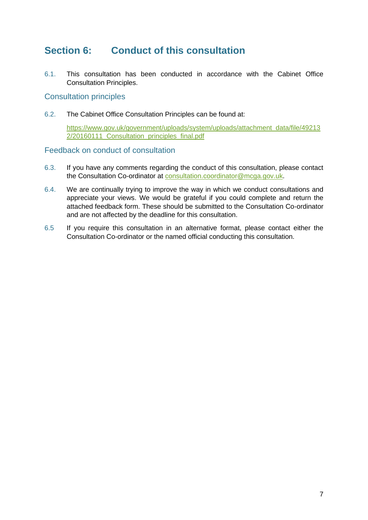# <span id="page-8-0"></span>**Section 6: Conduct of this consultation**

6.1. This consultation has been conducted in accordance with the Cabinet Office Consultation Principles.

#### <span id="page-8-1"></span>Consultation principles

6.2. The Cabinet Office Consultation Principles can be found at:

[https://www.gov.uk/government/uploads/system/uploads/attachment\\_data/file/49213](https://www.gov.uk/government/uploads/system/uploads/attachment_data/file/492132/20160111_Consultation_principles_final.pdf) [2/20160111\\_Consultation\\_principles\\_final.pdf](https://www.gov.uk/government/uploads/system/uploads/attachment_data/file/492132/20160111_Consultation_principles_final.pdf)

#### <span id="page-8-2"></span>Feedback on conduct of consultation

- 6.3. If you have any comments regarding the conduct of this consultation, please contact the Consultation Co-ordinator at [consultation.coordinator@mcga.gov.uk.](mailto:consultation.coordinator@mcga.gov.uk)
- 6.4. We are continually trying to improve the way in which we conduct consultations and appreciate your views. We would be grateful if you could complete and return the attached feedback form. These should be submitted to the Consultation Co-ordinator and are not affected by the deadline for this consultation.
- 6.5 If you require this consultation in an alternative format, please contact either the Consultation Co-ordinator or the named official conducting this consultation.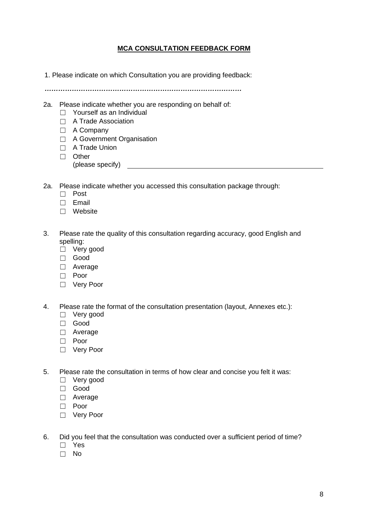#### **MCA CONSULTATION FEEDBACK FORM**

<span id="page-9-0"></span>1. Please indicate on which Consultation you are providing feedback:

*……………………………………………………………………………*

- 2a. Please indicate whether you are responding on behalf of:
	- $\Box$  Yourself as an Individual
	- ☐ A Trade Association
	- ☐ A Company
	- □ A Government Organisation
	- ☐ A Trade Union
	- ☐ Other
		- (please specify)
- 2a. Please indicate whether you accessed this consultation package through:
	- ☐ Post
	- ☐ Email
	- ☐ Website
- 3. Please rate the quality of this consultation regarding accuracy, good English and spelling:
	- ☐ Very good
	- ☐ Good
	- ☐ Average
	- ☐ Poor
	- ☐ Very Poor
- 4. Please rate the format of the consultation presentation (layout, Annexes etc.):
	- ☐ Very good
	- ☐ Good
	- ☐ Average
	- ☐ Poor
	- ☐ Very Poor
- 5. Please rate the consultation in terms of how clear and concise you felt it was:
	- ☐ Very good
	- ☐ Good
	- □ Average
	- ☐ Poor
	- ☐ Very Poor
- 6. Did you feel that the consultation was conducted over a sufficient period of time?
	- ☐ Yes
	- ☐ No